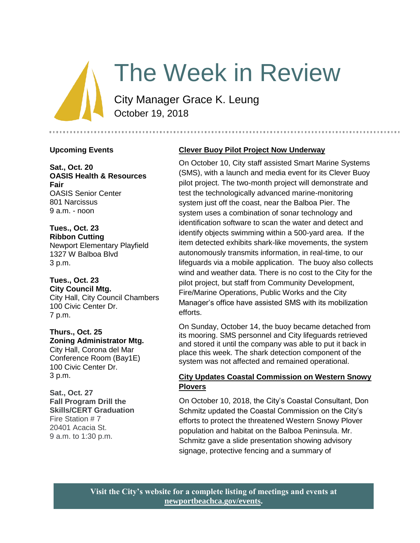# The Week in Review

City Manager Grace K. Leung October 19, 2018

#### **Upcoming Events**

**Sat., Oct. 20 OASIS Health & Resources Fair** OASIS Senior Center 801 Narcissus 9 a.m. - noon

**Tues., Oct. 23 Ribbon Cutting**  Newport Elementary Playfield 1327 W Balboa Blvd 3 p.m.

**Tues., Oct. 23 City Council Mtg.** City Hall, City Council Chambers 100 Civic Center Dr. 7 p.m.

**Thurs., Oct. 25 Zoning Administrator Mtg.** City Hall, Corona del Mar Conference Room (Bay1E) 100 Civic Center Dr. 3 p.m.

**Sat., Oct. 27 Fall Program Drill the Skills/CERT Graduation**  Fire Station # 7 20401 Acacia St. 9 a.m. to 1:30 p.m.

# **Clever Buoy Pilot Project Now Underway**

On October 10, City staff assisted Smart Marine Systems (SMS), with a launch and media event for its Clever Buoy pilot project. The two-month project will demonstrate and test the technologically advanced marine-monitoring system just off the coast, near the Balboa Pier. The system uses a combination of sonar technology and identification software to scan the water and detect and identify objects swimming within a 500-yard area. If the item detected exhibits shark-like movements, the system autonomously transmits information, in real-time, to our lifeguards via a mobile application. The buoy also collects wind and weather data. There is no cost to the City for the pilot project, but staff from Community Development, Fire/Marine Operations, Public Works and the City Manager's office have assisted SMS with its mobilization efforts.

On Sunday, October 14, the buoy became detached from its mooring. SMS personnel and City lifeguards retrieved and stored it until the company was able to put it back in place this week. The shark detection component of the system was not affected and remained operational.

# **City Updates Coastal Commission on Western Snowy Plovers**

On October 10, 2018, the City's Coastal Consultant, Don Schmitz updated the Coastal Commission on the City's efforts to protect the threatened Western Snowy Plover population and habitat on the Balboa Peninsula. Mr. Schmitz gave a slide presentation showing advisory signage, protective fencing and a summary of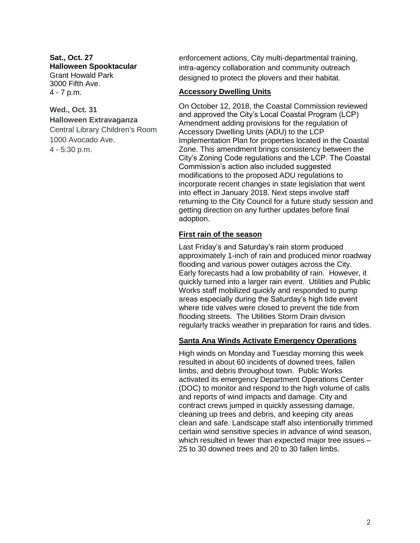**Sat., Oct. 27 Halloween Spooktacular** Grant Howald Park 3000 Fifth Ave. 4 - 7 p.m.

# **Wed., Oct. 31 Halloween Extravaganza**

Central Library Children's Room 1000 Avocado Ave. 4 - 5:30 p.m.

enforcement actions, City multi-departmental training, intra-agency collaboration and community outreach designed to protect the plovers and their habitat.

#### **Accessory Dwelling Units**

On October 12, 2018, the Coastal Commission reviewed and approved the City's Local Coastal Program (LCP) Amendment adding provisions for the regulation of Accessory Dwelling Units (ADU) to the LCP Implementation Plan for properties located in the Coastal Zone. This amendment brings consistency between the City's Zoning Code regulations and the LCP. The Coastal Commission's action also included suggested modifications to the proposed ADU regulations to incorporate recent changes in state legislation that went into effect in January 2018. Next steps involve staff returning to the City Council for a future study session and getting direction on any further updates before final adoption.

## **First rain of the season**

Last Friday's and Saturday's rain storm produced approximately 1-inch of rain and produced minor roadway flooding and various power outages across the City. Early forecasts had a low probability of rain. However, it quickly turned into a larger rain event. Utilities and Public Works staff mobilized quickly and responded to pump areas especially during the Saturday's high tide event where tide valves were closed to prevent the tide from flooding streets. The Utilities Storm Drain division regularly tracks weather in preparation for rains and tides.

## **Santa Ana Winds Activate Emergency Operations**

High winds on Monday and Tuesday morning this week resulted in about 60 incidents of downed trees, fallen limbs, and debris throughout town. Public Works activated its emergency Department Operations Center (DOC) to monitor and respond to the high volume of calls and reports of wind impacts and damage. City and contract crews jumped in quickly assessing damage, cleaning up trees and debris, and keeping city areas clean and safe. Landscape staff also intentionally trimmed certain wind sensitive species in advance of wind season, which resulted in fewer than expected major tree issues – 25 to 30 downed trees and 20 to 30 fallen limbs.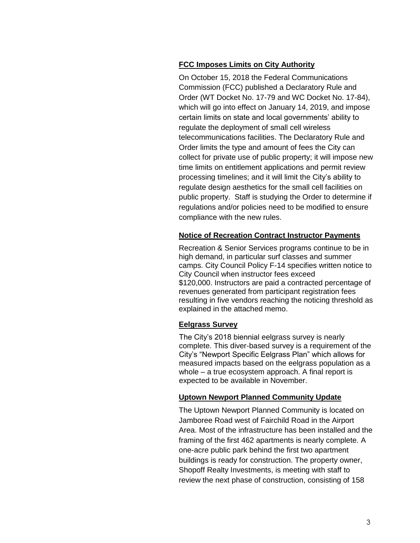# **FCC Imposes Limits on City Authority**

On October 15, 2018 the Federal Communications Commission (FCC) published a Declaratory Rule and Order (WT Docket No. 17-79 and WC Docket No. 17-84), which will go into effect on January 14, 2019, and impose certain limits on state and local governments' ability to regulate the deployment of small cell wireless telecommunications facilities. The Declaratory Rule and Order limits the type and amount of fees the City can collect for private use of public property; it will impose new time limits on entitlement applications and permit review processing timelines; and it will limit the City's ability to regulate design aesthetics for the small cell facilities on public property. Staff is studying the Order to determine if regulations and/or policies need to be modified to ensure compliance with the new rules.

# **Notice of Recreation Contract Instructor Payments**

Recreation & Senior Services programs continue to be in high demand, in particular surf classes and summer camps. City Council Policy F-14 specifies written notice to City Council when instructor fees exceed \$120,000. Instructors are paid a contracted percentage of revenues generated from participant registration fees resulting in five vendors reaching the noticing threshold as explained in the attached memo.

## **Eelgrass Survey**

The City's 2018 biennial eelgrass survey is nearly complete. This diver-based survey is a requirement of the City's "Newport Specific Eelgrass Plan" which allows for measured impacts based on the eelgrass population as a whole – a true ecosystem approach. A final report is expected to be available in November.

## **Uptown Newport Planned Community Update**

The Uptown Newport Planned Community is located on Jamboree Road west of Fairchild Road in the Airport Area. Most of the infrastructure has been installed and the framing of the first 462 apartments is nearly complete. A one-acre public park behind the first two apartment buildings is ready for construction. The property owner, Shopoff Realty Investments, is meeting with staff to review the next phase of construction, consisting of 158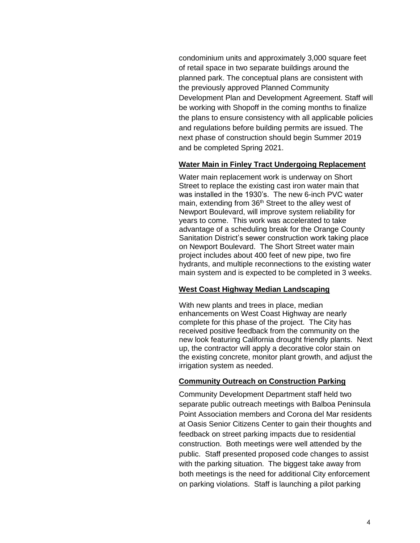condominium units and approximately 3,000 square feet of retail space in two separate buildings around the planned park. The conceptual plans are consistent with the previously approved Planned Community Development Plan and Development Agreement. Staff will be working with Shopoff in the coming months to finalize the plans to ensure consistency with all applicable policies and regulations before building permits are issued. The next phase of construction should begin Summer 2019 and be completed Spring 2021.

#### **Water Main in Finley Tract Undergoing Replacement**

Water main replacement work is underway on Short Street to replace the existing cast iron water main that was installed in the 1930's. The new 6-inch PVC water main, extending from 36<sup>th</sup> Street to the alley west of Newport Boulevard, will improve system reliability for years to come. This work was accelerated to take advantage of a scheduling break for the Orange County Sanitation District's sewer construction work taking place on Newport Boulevard. The Short Street water main project includes about 400 feet of new pipe, two fire hydrants, and multiple reconnections to the existing water main system and is expected to be completed in 3 weeks.

#### **West Coast Highway Median Landscaping**

With new plants and trees in place, median enhancements on West Coast Highway are nearly complete for this phase of the project. The City has received positive feedback from the community on the new look featuring California drought friendly plants. Next up, the contractor will apply a decorative color stain on the existing concrete, monitor plant growth, and adjust the irrigation system as needed.

#### **Community Outreach on Construction Parking**

Community Development Department staff held two separate public outreach meetings with Balboa Peninsula Point Association members and Corona del Mar residents at Oasis Senior Citizens Center to gain their thoughts and feedback on street parking impacts due to residential construction. Both meetings were well attended by the public. Staff presented proposed code changes to assist with the parking situation. The biggest take away from both meetings is the need for additional City enforcement on parking violations. Staff is launching a pilot parking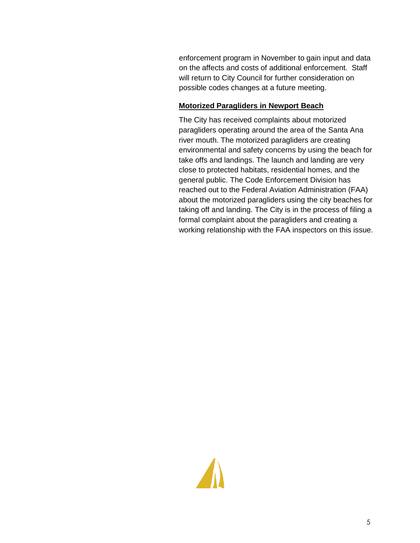enforcement program in November to gain input and data on the affects and costs of additional enforcement. Staff will return to City Council for further consideration on possible codes changes at a future meeting.

# **Motorized Paragliders in Newport Beach**

The City has received complaints about motorized paragliders operating around the area of the Santa Ana river mouth. The motorized paragliders are creating environmental and safety concerns by using the beach for take offs and landings. The launch and landing are very close to protected habitats, residential homes, and the general public. The Code Enforcement Division has reached out to the Federal Aviation Administration (FAA) about the motorized paragliders using the city beaches for taking off and landing. The City is in the process of filing a formal complaint about the paragliders and creating a working relationship with the FAA inspectors on this issue.